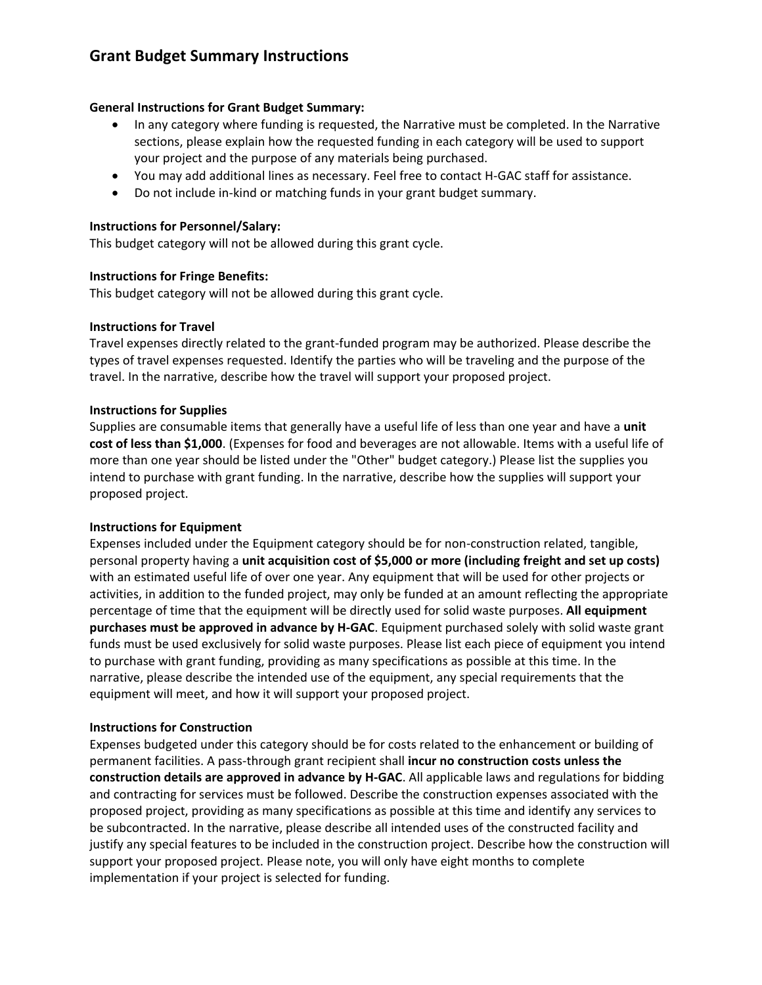# **Grant Budget Summary Instructions**

## **General Instructions for Grant Budget Summary:**

- In any category where funding is requested, the Narrative must be completed. In the Narrative sections, please explain how the requested funding in each category will be used to support your project and the purpose of any materials being purchased.
- You may add additional lines as necessary. Feel free to contact H-GAC staff for assistance.
- Do not include in-kind or matching funds in your grant budget summary.

## **Instructions for Personnel/Salary:**

This budget category will not be allowed during this grant cycle.

### **Instructions for Fringe Benefits:**

This budget category will not be allowed during this grant cycle.

### **Instructions for Travel**

Travel expenses directly related to the grant-funded program may be authorized. Please describe the types of travel expenses requested. Identify the parties who will be traveling and the purpose of the travel. In the narrative, describe how the travel will support your proposed project.

### **Instructions for Supplies**

Supplies are consumable items that generally have a useful life of less than one year and have a **unit cost of less than \$1,000**. (Expenses for food and beverages are not allowable. Items with a useful life of more than one year should be listed under the "Other" budget category.) Please list the supplies you intend to purchase with grant funding. In the narrative, describe how the supplies will support your proposed project.

## **Instructions for Equipment**

Expenses included under the Equipment category should be for non-construction related, tangible, personal property having a **unit acquisition cost of \$5,000 or more (including freight and set up costs)** with an estimated useful life of over one year. Any equipment that will be used for other projects or activities, in addition to the funded project, may only be funded at an amount reflecting the appropriate percentage of time that the equipment will be directly used for solid waste purposes. **All equipment purchases must be approved in advance by H-GAC**. Equipment purchased solely with solid waste grant funds must be used exclusively for solid waste purposes. Please list each piece of equipment you intend to purchase with grant funding, providing as many specifications as possible at this time. In the narrative, please describe the intended use of the equipment, any special requirements that the equipment will meet, and how it will support your proposed project.

## **Instructions for Construction**

Expenses budgeted under this category should be for costs related to the enhancement or building of permanent facilities. A pass-through grant recipient shall **incur no construction costs unless the construction details are approved in advance by H-GAC**. All applicable laws and regulations for bidding and contracting for services must be followed. Describe the construction expenses associated with the proposed project, providing as many specifications as possible at this time and identify any services to be subcontracted. In the narrative, please describe all intended uses of the constructed facility and justify any special features to be included in the construction project. Describe how the construction will support your proposed project. Please note, you will only have eight months to complete implementation if your project is selected for funding.